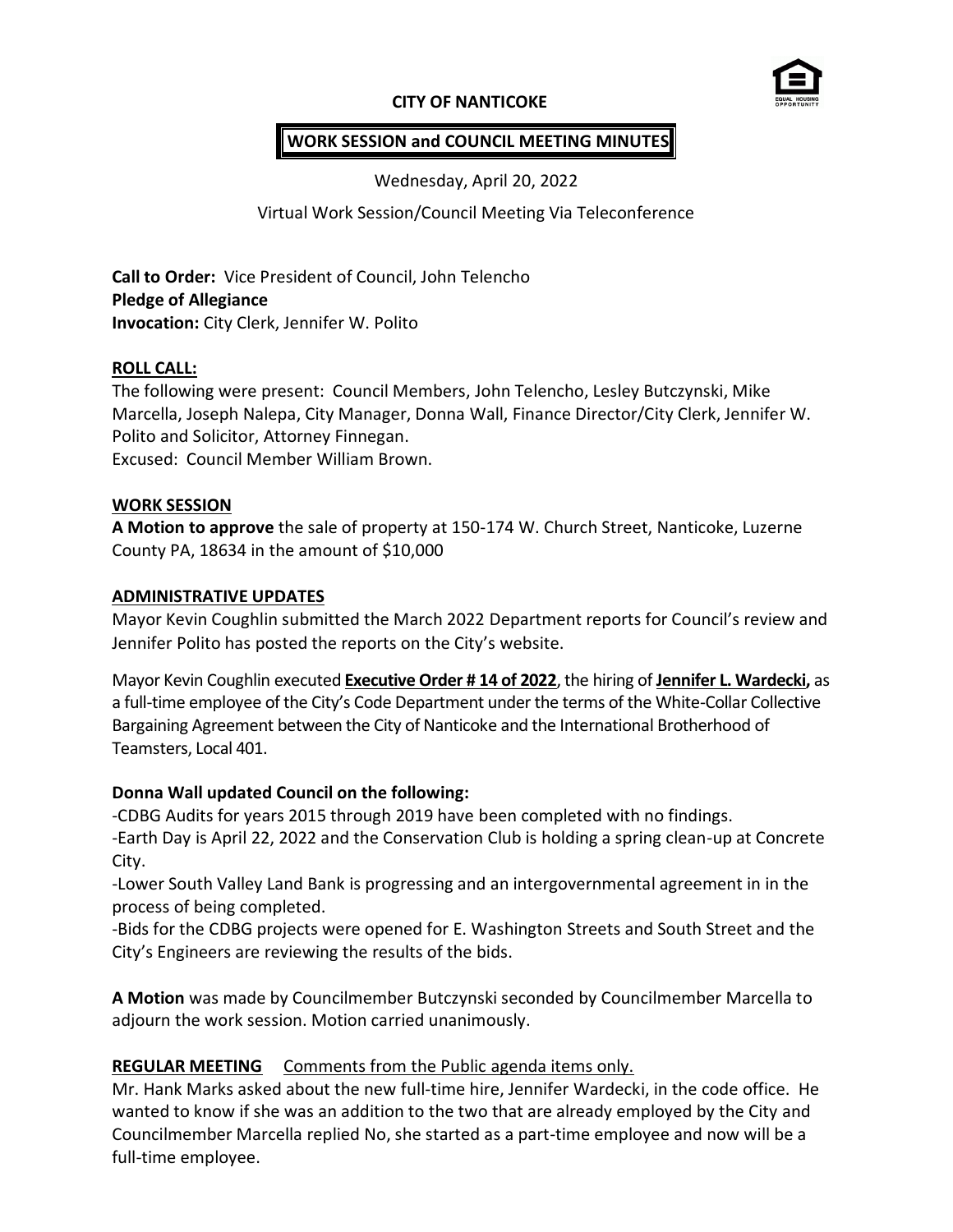# **CITY OF NANTICOKE**



# **WORK SESSION and COUNCIL MEETING MINUTES**

Wednesday, April 20, 2022

# Virtual Work Session/Council Meeting Via Teleconference

**Call to Order:** Vice President of Council, John Telencho **Pledge of Allegiance Invocation:** City Clerk, Jennifer W. Polito

### **ROLL CALL:**

The following were present: Council Members, John Telencho, Lesley Butczynski, Mike Marcella, Joseph Nalepa, City Manager, Donna Wall, Finance Director/City Clerk, Jennifer W. Polito and Solicitor, Attorney Finnegan.

Excused: Council Member William Brown.

### **WORK SESSION**

**A Motion to approve** the sale of property at 150-174 W. Church Street, Nanticoke, Luzerne County PA, 18634 in the amount of \$10,000

### **ADMINISTRATIVE UPDATES**

Mayor Kevin Coughlin submitted the March 2022 Department reports for Council's review and Jennifer Polito has posted the reports on the City's website.

Mayor Kevin Coughlin executed **Executive Order # 14 of 2022**, the hiring of **Jennifer L. Wardecki,** as a full-time employee of the City's Code Department under the terms of the White-Collar Collective Bargaining Agreement between the City of Nanticoke and the International Brotherhood of Teamsters, Local 401.

# **Donna Wall updated Council on the following:**

-CDBG Audits for years 2015 through 2019 have been completed with no findings. -Earth Day is April 22, 2022 and the Conservation Club is holding a spring clean-up at Concrete City.

-Lower South Valley Land Bank is progressing and an intergovernmental agreement in in the process of being completed.

-Bids for the CDBG projects were opened for E. Washington Streets and South Street and the City's Engineers are reviewing the results of the bids.

**A Motion** was made by Councilmember Butczynski seconded by Councilmember Marcella to adjourn the work session. Motion carried unanimously.

# **REGULAR MEETING** Comments from the Public agenda items only.

Mr. Hank Marks asked about the new full-time hire, Jennifer Wardecki, in the code office. He wanted to know if she was an addition to the two that are already employed by the City and Councilmember Marcella replied No, she started as a part-time employee and now will be a full-time employee.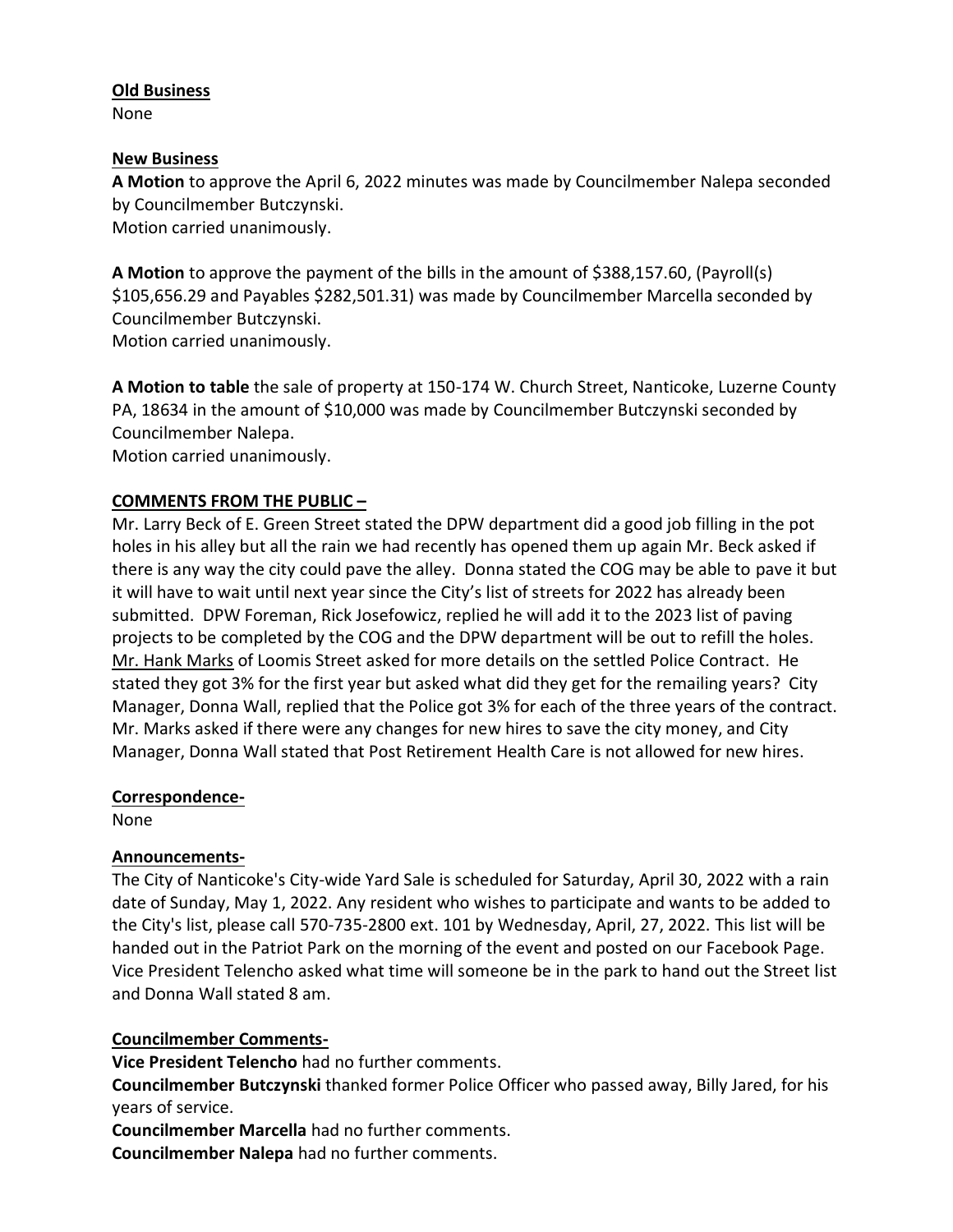### **Old Business**

None

### **New Business**

**A Motion** to approve the April 6, 2022 minutes was made by Councilmember Nalepa seconded by Councilmember Butczynski. Motion carried unanimously.

**A Motion** to approve the payment of the bills in the amount of \$388,157.60, (Payroll(s) \$105,656.29 and Payables \$282,501.31) was made by Councilmember Marcella seconded by Councilmember Butczynski. Motion carried unanimously.

**A Motion to table** the sale of property at 150-174 W. Church Street, Nanticoke, Luzerne County PA, 18634 in the amount of \$10,000 was made by Councilmember Butczynski seconded by Councilmember Nalepa.

Motion carried unanimously.

# **COMMENTS FROM THE PUBLIC –**

Mr. Larry Beck of E. Green Street stated the DPW department did a good job filling in the pot holes in his alley but all the rain we had recently has opened them up again Mr. Beck asked if there is any way the city could pave the alley. Donna stated the COG may be able to pave it but it will have to wait until next year since the City's list of streets for 2022 has already been submitted. DPW Foreman, Rick Josefowicz, replied he will add it to the 2023 list of paving projects to be completed by the COG and the DPW department will be out to refill the holes. Mr. Hank Marks of Loomis Street asked for more details on the settled Police Contract. He stated they got 3% for the first year but asked what did they get for the remailing years? City Manager, Donna Wall, replied that the Police got 3% for each of the three years of the contract. Mr. Marks asked if there were any changes for new hires to save the city money, and City Manager, Donna Wall stated that Post Retirement Health Care is not allowed for new hires.

### **Correspondence-**

None

### **Announcements-**

The City of Nanticoke's City-wide Yard Sale is scheduled for Saturday, April 30, 2022 with a rain date of Sunday, May 1, 2022. Any resident who wishes to participate and wants to be added to the City's list, please call 570-735-2800 ext. 101 by Wednesday, April, 27, 2022. This list will be handed out in the Patriot Park on the morning of the event and posted on our Facebook Page. Vice President Telencho asked what time will someone be in the park to hand out the Street list and Donna Wall stated 8 am.

# **Councilmember Comments-**

**Vice President Telencho** had no further comments.

**Councilmember Butczynski** thanked former Police Officer who passed away, Billy Jared, for his years of service.

**Councilmember Marcella** had no further comments.

**Councilmember Nalepa** had no further comments.